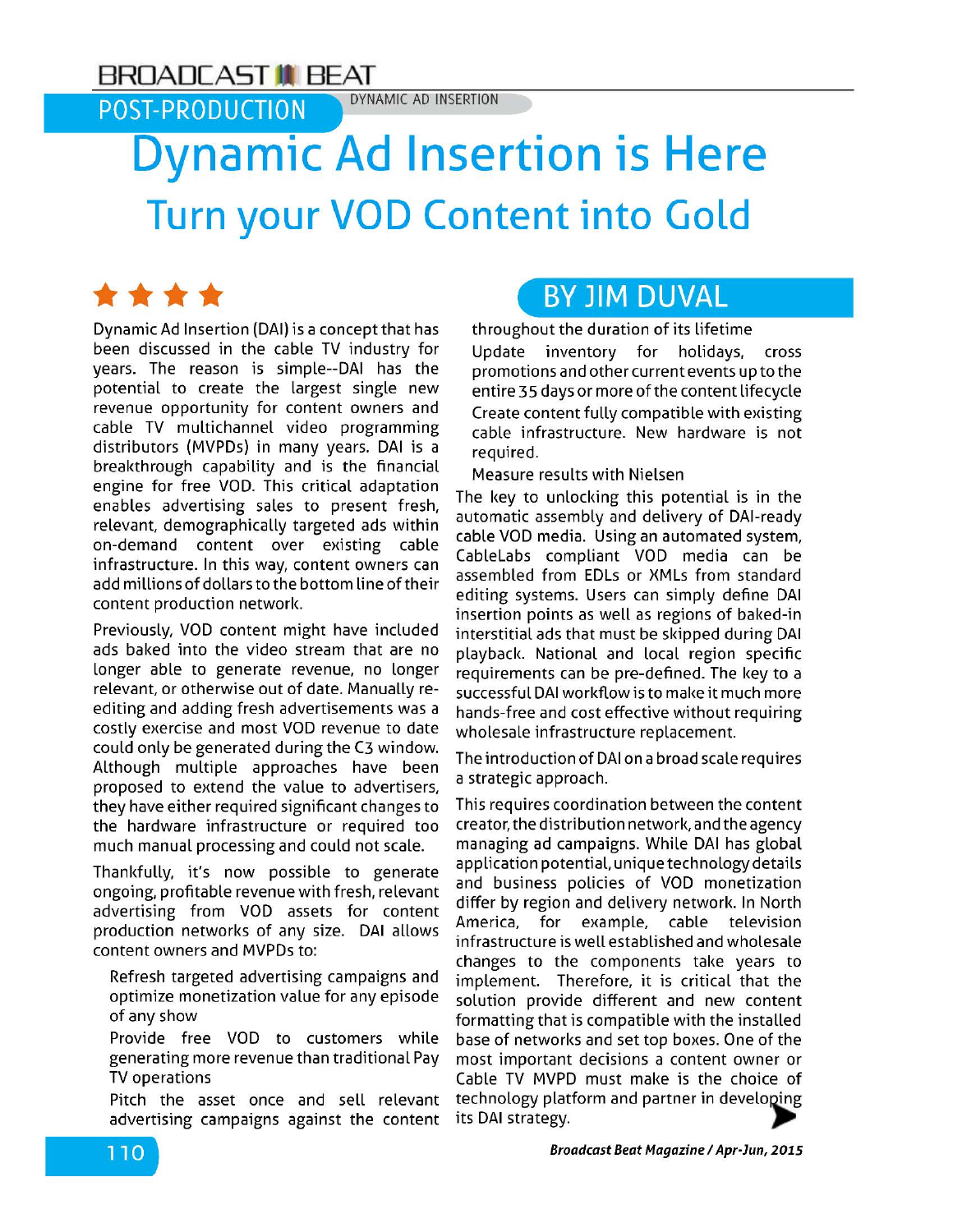## **BROADCAST <b>IN** BEAT **BROADCAST**

**POST-PRODUCTION** 

## **Dynamic Ad Insertion is Here Turn your VOD Content into Gold**

\*\*\*\* Dynamic Ad Insertion (DAI) is a concept that has been discussed in the cable TV industry for years. The reason is simple--DAI has the potential to create the Largest single new revenue opportunity for content owners and cable TV multichannel video programming distributors (MVPDs) in many years. DAI is a breakthrough capability and is the financial engine for free VOD. This critical adaptation enables advertising sales to present fresh, relevant, demographically targeted ads within on-demand content over existing cable infrastructure. In this way, content owners can add millions of dollars to the bottom line of their content production network.

Previously, VOD content might have included ads baked into the video stream that are no Longer able to generate revenue, no Longer relevant, or otherwise out of date. Manually reediting and adding fresh advertisements was a costly exercise and most VOD revenue to date could only be generated during the C3 window. Although multiple approaches have been proposed to extend the value to advertisers, they have either required significant changes to the hardware infrastructure or required too much manual processing and could not scale.

Thankfully, it's now possible to generate ongoing, profitable revenue with fresh, relevant advertising from VOD assets for content production networks of any size. DAI allows

advertising campaigns against the content its DAI strategy.

## **BY JIM DUVAL**

throughout the duration of its Lifetime

Update inventory for holidays, cross promotions and other current events up to the entire 35 days or more of the content Lifecycle Create content fully compatible with existing cable infrastructure. New hardware is not required.

Measure results with Nielsen

The key to unlocking this potential is in the automatic assembly and delivery of DAI-ready cable VOD media. Using an automated system, CableLabs compliant VOD media can be assembled from EDLs or XMLs from standard editing systems. Users can simply define DAI insertion points as well as regions of baked-in interstitial ads that must be skipped during DAI playback. National and local region specific requirements can be pre-defined. The key to a successful DAI workflow is to make it much more hands-free and cost effective without requiring wholesale infrastructure replacement.

The introduction of DAI on a broad scale requires a strategic approach.

This requires coordination between the content creator, the distribution network, and the agency managing ad campaigns. While DAI has global application potential, unique technology details and business policies of VOD monetization differ by region and delivery network. In North America, for example, cable television infrastructure is well established and wholesale content owners and MVPDs to: changes to the components take years to Refresh targeted advertising campaigns and implement. Therefore, it is critical that the<br>Suptimize monetization value for any episode solution provide different and new content solution provide different and new content of any show formatting that is compatible with the installed Provide free VOD to customers while base of networks and set top boxes. One of the generating more revenue than traditional Pay most important decisions a content owner or TV operations Cable TV MVPD must make is the choice of Pitch the asset once and sell relevant technology platform and partner in developing